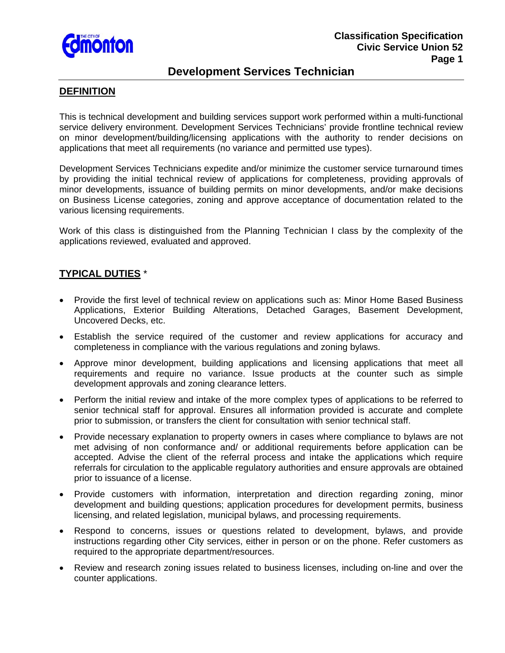

# **Development Services Technician**

#### **DEFINITION**

This is technical development and building services support work performed within a multi-functional service delivery environment. Development Services Technicians' provide frontline technical review on minor development/building/licensing applications with the authority to render decisions on applications that meet all requirements (no variance and permitted use types).

Development Services Technicians expedite and/or minimize the customer service turnaround times by providing the initial technical review of applications for completeness, providing approvals of minor developments, issuance of building permits on minor developments, and/or make decisions on Business License categories, zoning and approve acceptance of documentation related to the various licensing requirements.

Work of this class is distinguished from the Planning Technician I class by the complexity of the applications reviewed, evaluated and approved.

# **TYPICAL DUTIES** \*

- Provide the first level of technical review on applications such as: Minor Home Based Business Applications, Exterior Building Alterations, Detached Garages, Basement Development, Uncovered Decks, etc.
- Establish the service required of the customer and review applications for accuracy and completeness in compliance with the various regulations and zoning bylaws.
- Approve minor development, building applications and licensing applications that meet all requirements and require no variance. Issue products at the counter such as simple development approvals and zoning clearance letters.
- Perform the initial review and intake of the more complex types of applications to be referred to senior technical staff for approval. Ensures all information provided is accurate and complete prior to submission, or transfers the client for consultation with senior technical staff.
- Provide necessary explanation to property owners in cases where compliance to bylaws are not met advising of non conformance and/ or additional requirements before application can be accepted. Advise the client of the referral process and intake the applications which require referrals for circulation to the applicable regulatory authorities and ensure approvals are obtained prior to issuance of a license.
- Provide customers with information, interpretation and direction regarding zoning, minor development and building questions; application procedures for development permits, business licensing, and related legislation, municipal bylaws, and processing requirements.
- Respond to concerns, issues or questions related to development, bylaws, and provide instructions regarding other City services, either in person or on the phone. Refer customers as required to the appropriate department/resources.
- Review and research zoning issues related to business licenses, including on-line and over the counter applications.